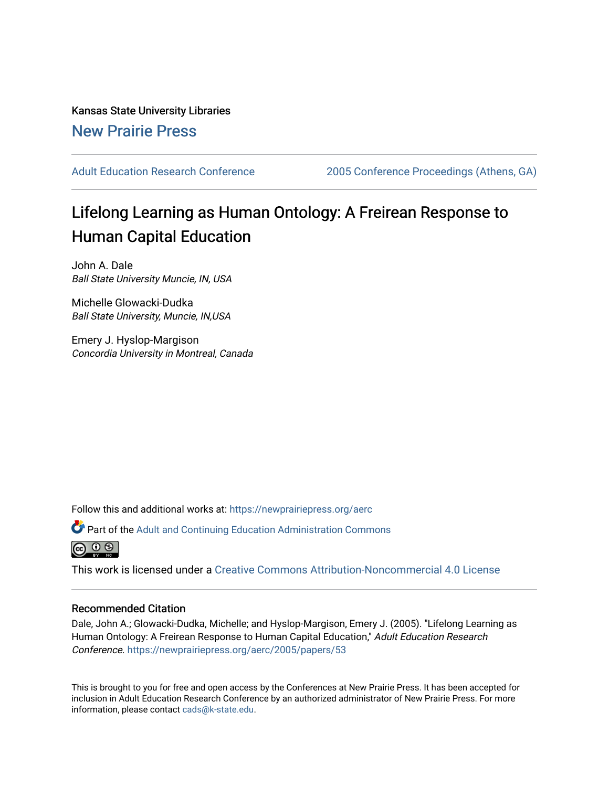Kansas State University Libraries [New Prairie Press](https://newprairiepress.org/) 

[Adult Education Research Conference](https://newprairiepress.org/aerc) [2005 Conference Proceedings \(Athens, GA\)](https://newprairiepress.org/aerc/2005) 

# Lifelong Learning as Human Ontology: A Freirean Response to Human Capital Education

John A. Dale Ball State University Muncie, IN, USA

Michelle Glowacki-Dudka Ball State University, Muncie, IN,USA

Emery J. Hyslop-Margison Concordia University in Montreal, Canada

Follow this and additional works at: [https://newprairiepress.org/aerc](https://newprairiepress.org/aerc?utm_source=newprairiepress.org%2Faerc%2F2005%2Fpapers%2F53&utm_medium=PDF&utm_campaign=PDFCoverPages)

Part of the [Adult and Continuing Education Administration Commons](http://network.bepress.com/hgg/discipline/789?utm_source=newprairiepress.org%2Faerc%2F2005%2Fpapers%2F53&utm_medium=PDF&utm_campaign=PDFCoverPages)

ര  $\odot$   $\odot$ 

This work is licensed under a [Creative Commons Attribution-Noncommercial 4.0 License](https://creativecommons.org/licenses/by-nc/4.0/)

#### Recommended Citation

Dale, John A.; Glowacki-Dudka, Michelle; and Hyslop-Margison, Emery J. (2005). "Lifelong Learning as Human Ontology: A Freirean Response to Human Capital Education," Adult Education Research Conference.<https://newprairiepress.org/aerc/2005/papers/53>

This is brought to you for free and open access by the Conferences at New Prairie Press. It has been accepted for inclusion in Adult Education Research Conference by an authorized administrator of New Prairie Press. For more information, please contact [cads@k-state.edu](mailto:cads@k-state.edu).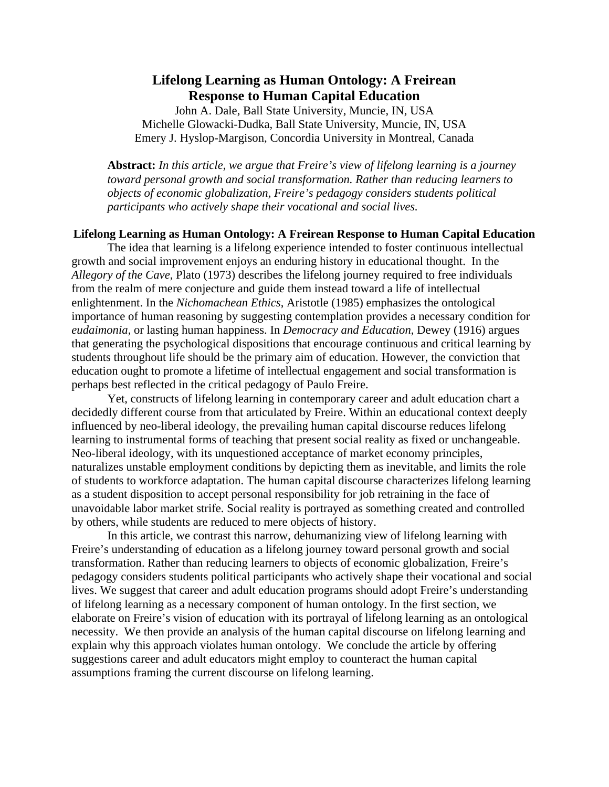## **Lifelong Learning as Human Ontology: A Freirean Response to Human Capital Education**

John A. Dale, Ball State University, Muncie, IN, USA Michelle Glowacki-Dudka, Ball State University, Muncie, IN, USA Emery J. Hyslop-Margison, Concordia University in Montreal, Canada

**Abstract:** *In this article, we argue that Freire's view of lifelong learning is a journey toward personal growth and social transformation. Rather than reducing learners to objects of economic globalization, Freire's pedagogy considers students political participants who actively shape their vocational and social lives.* 

#### **Lifelong Learning as Human Ontology: A Freirean Response to Human Capital Education**

 The idea that learning is a lifelong experience intended to foster continuous intellectual growth and social improvement enjoys an enduring history in educational thought. In the *Allegory of the Cave*, Plato (1973) describes the lifelong journey required to free individuals from the realm of mere conjecture and guide them instead toward a life of intellectual enlightenment. In the *Nichomachean Ethics*, Aristotle (1985) emphasizes the ontological importance of human reasoning by suggesting contemplation provides a necessary condition for *eudaimonia,* or lasting human happiness. In *Democracy and Education*, Dewey (1916) argues that generating the psychological dispositions that encourage continuous and critical learning by students throughout life should be the primary aim of education. However, the conviction that education ought to promote a lifetime of intellectual engagement and social transformation is perhaps best reflected in the critical pedagogy of Paulo Freire.

 Yet, constructs of lifelong learning in contemporary career and adult education chart a decidedly different course from that articulated by Freire. Within an educational context deeply influenced by neo-liberal ideology, the prevailing human capital discourse reduces lifelong learning to instrumental forms of teaching that present social reality as fixed or unchangeable. Neo-liberal ideology, with its unquestioned acceptance of market economy principles, naturalizes unstable employment conditions by depicting them as inevitable, and limits the role of students to workforce adaptation. The human capital discourse characterizes lifelong learning as a student disposition to accept personal responsibility for job retraining in the face of unavoidable labor market strife. Social reality is portrayed as something created and controlled by others, while students are reduced to mere objects of history.

In this article, we contrast this narrow, dehumanizing view of lifelong learning with Freire's understanding of education as a lifelong journey toward personal growth and social transformation. Rather than reducing learners to objects of economic globalization, Freire's pedagogy considers students political participants who actively shape their vocational and social lives. We suggest that career and adult education programs should adopt Freire's understanding of lifelong learning as a necessary component of human ontology. In the first section, we elaborate on Freire's vision of education with its portrayal of lifelong learning as an ontological necessity. We then provide an analysis of the human capital discourse on lifelong learning and explain why this approach violates human ontology. We conclude the article by offering suggestions career and adult educators might employ to counteract the human capital assumptions framing the current discourse on lifelong learning.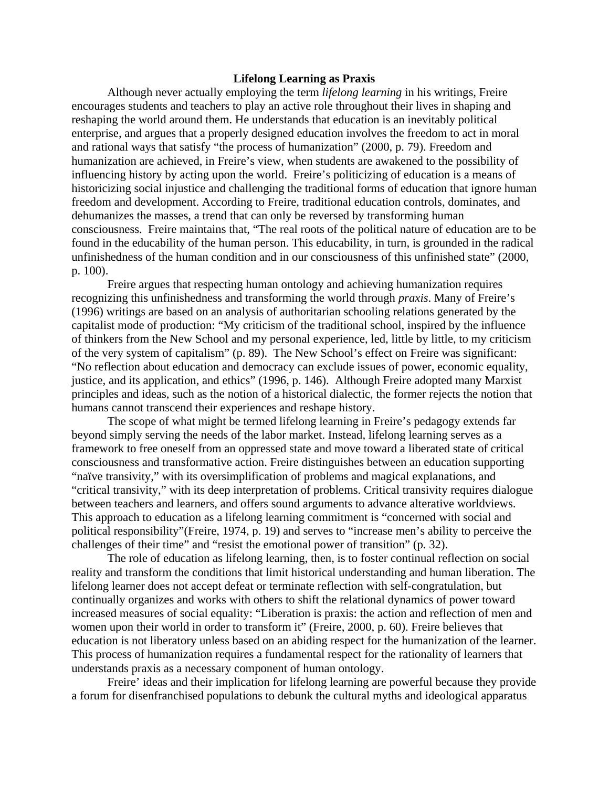#### **Lifelong Learning as Praxis**

Although never actually employing the term *lifelong learning* in his writings, Freire encourages students and teachers to play an active role throughout their lives in shaping and reshaping the world around them. He understands that education is an inevitably political enterprise, and argues that a properly designed education involves the freedom to act in moral and rational ways that satisfy "the process of humanization" (2000, p. 79). Freedom and humanization are achieved, in Freire's view, when students are awakened to the possibility of influencing history by acting upon the world. Freire's politicizing of education is a means of historicizing social injustice and challenging the traditional forms of education that ignore human freedom and development. According to Freire, traditional education controls, dominates, and dehumanizes the masses, a trend that can only be reversed by transforming human consciousness. Freire maintains that, "The real roots of the political nature of education are to be found in the educability of the human person. This educability, in turn, is grounded in the radical unfinishedness of the human condition and in our consciousness of this unfinished state" (2000, p. 100).

Freire argues that respecting human ontology and achieving humanization requires recognizing this unfinishedness and transforming the world through *praxis*. Many of Freire's (1996) writings are based on an analysis of authoritarian schooling relations generated by the capitalist mode of production: "My criticism of the traditional school, inspired by the influence of thinkers from the New School and my personal experience, led, little by little, to my criticism of the very system of capitalism" (p. 89). The New School's effect on Freire was significant: "No reflection about education and democracy can exclude issues of power, economic equality, justice, and its application, and ethics" (1996, p. 146). Although Freire adopted many Marxist principles and ideas, such as the notion of a historical dialectic, the former rejects the notion that humans cannot transcend their experiences and reshape history.

The scope of what might be termed lifelong learning in Freire's pedagogy extends far beyond simply serving the needs of the labor market. Instead, lifelong learning serves as a framework to free oneself from an oppressed state and move toward a liberated state of critical consciousness and transformative action. Freire distinguishes between an education supporting "naïve transivity," with its oversimplification of problems and magical explanations, and "critical transivity," with its deep interpretation of problems. Critical transivity requires dialogue between teachers and learners, and offers sound arguments to advance alterative worldviews. This approach to education as a lifelong learning commitment is "concerned with social and political responsibility"(Freire, 1974, p. 19) and serves to "increase men's ability to perceive the challenges of their time" and "resist the emotional power of transition" (p. 32).

The role of education as lifelong learning, then, is to foster continual reflection on social reality and transform the conditions that limit historical understanding and human liberation. The lifelong learner does not accept defeat or terminate reflection with self-congratulation, but continually organizes and works with others to shift the relational dynamics of power toward increased measures of social equality: "Liberation is praxis: the action and reflection of men and women upon their world in order to transform it" (Freire, 2000, p. 60). Freire believes that education is not liberatory unless based on an abiding respect for the humanization of the learner. This process of humanization requires a fundamental respect for the rationality of learners that understands praxis as a necessary component of human ontology.

Freire' ideas and their implication for lifelong learning are powerful because they provide a forum for disenfranchised populations to debunk the cultural myths and ideological apparatus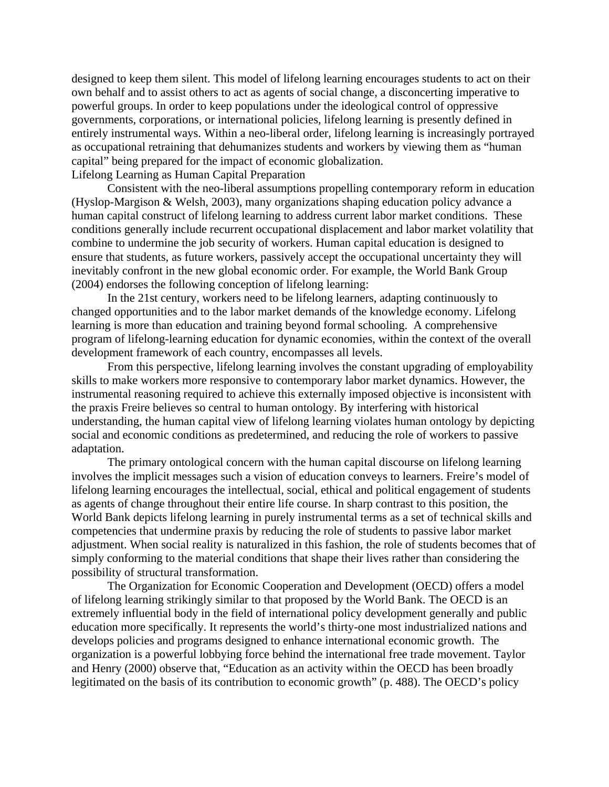designed to keep them silent. This model of lifelong learning encourages students to act on their own behalf and to assist others to act as agents of social change, a disconcerting imperative to powerful groups. In order to keep populations under the ideological control of oppressive governments, corporations, or international policies, lifelong learning is presently defined in entirely instrumental ways. Within a neo-liberal order, lifelong learning is increasingly portrayed as occupational retraining that dehumanizes students and workers by viewing them as "human capital" being prepared for the impact of economic globalization. Lifelong Learning as Human Capital Preparation

 Consistent with the neo-liberal assumptions propelling contemporary reform in education (Hyslop-Margison & Welsh, 2003), many organizations shaping education policy advance a human capital construct of lifelong learning to address current labor market conditions. These conditions generally include recurrent occupational displacement and labor market volatility that combine to undermine the job security of workers. Human capital education is designed to ensure that students, as future workers, passively accept the occupational uncertainty they will inevitably confront in the new global economic order. For example, the World Bank Group (2004) endorses the following conception of lifelong learning:

In the 21st century, workers need to be lifelong learners, adapting continuously to changed opportunities and to the labor market demands of the knowledge economy. Lifelong learning is more than education and training beyond formal schooling. A comprehensive program of lifelong-learning education for dynamic economies, within the context of the overall development framework of each country, encompasses all levels.

From this perspective, lifelong learning involves the constant upgrading of employability skills to make workers more responsive to contemporary labor market dynamics. However, the instrumental reasoning required to achieve this externally imposed objective is inconsistent with the praxis Freire believes so central to human ontology. By interfering with historical understanding, the human capital view of lifelong learning violates human ontology by depicting social and economic conditions as predetermined, and reducing the role of workers to passive adaptation.

The primary ontological concern with the human capital discourse on lifelong learning involves the implicit messages such a vision of education conveys to learners. Freire's model of lifelong learning encourages the intellectual, social, ethical and political engagement of students as agents of change throughout their entire life course. In sharp contrast to this position, the World Bank depicts lifelong learning in purely instrumental terms as a set of technical skills and competencies that undermine praxis by reducing the role of students to passive labor market adjustment. When social reality is naturalized in this fashion, the role of students becomes that of simply conforming to the material conditions that shape their lives rather than considering the possibility of structural transformation.

 The Organization for Economic Cooperation and Development (OECD) offers a model of lifelong learning strikingly similar to that proposed by the World Bank. The OECD is an extremely influential body in the field of international policy development generally and public education more specifically. It represents the world's thirty-one most industrialized nations and develops policies and programs designed to enhance international economic growth. The organization is a powerful lobbying force behind the international free trade movement. Taylor and Henry (2000) observe that, "Education as an activity within the OECD has been broadly legitimated on the basis of its contribution to economic growth" (p. 488). The OECD's policy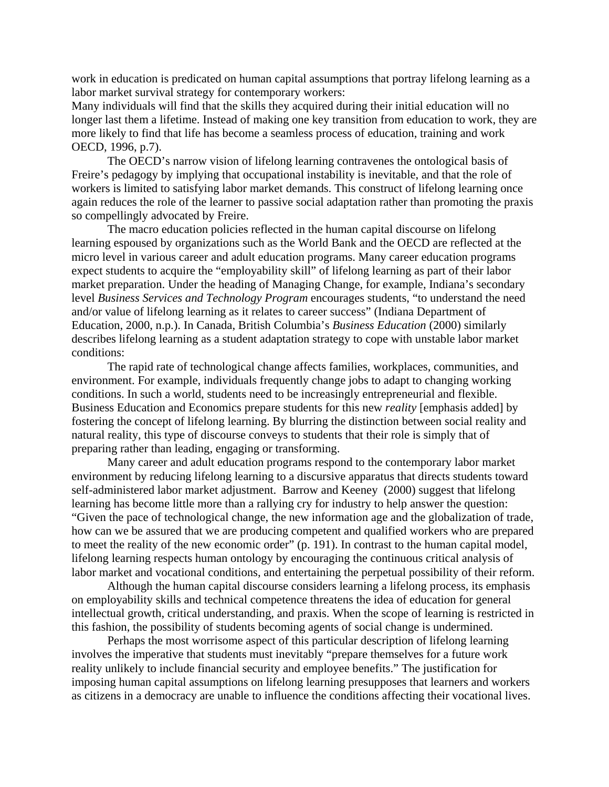work in education is predicated on human capital assumptions that portray lifelong learning as a labor market survival strategy for contemporary workers:

Many individuals will find that the skills they acquired during their initial education will no longer last them a lifetime. Instead of making one key transition from education to work, they are more likely to find that life has become a seamless process of education, training and work OECD, 1996, p.7).

The OECD's narrow vision of lifelong learning contravenes the ontological basis of Freire's pedagogy by implying that occupational instability is inevitable, and that the role of workers is limited to satisfying labor market demands. This construct of lifelong learning once again reduces the role of the learner to passive social adaptation rather than promoting the praxis so compellingly advocated by Freire.

 The macro education policies reflected in the human capital discourse on lifelong learning espoused by organizations such as the World Bank and the OECD are reflected at the micro level in various career and adult education programs. Many career education programs expect students to acquire the "employability skill" of lifelong learning as part of their labor market preparation. Under the heading of Managing Change, for example, Indiana's secondary level *Business Services and Technology Program* encourages students, "to understand the need and/or value of lifelong learning as it relates to career success" (Indiana Department of Education, 2000, n.p.). In Canada, British Columbia's *Business Education* (2000) similarly describes lifelong learning as a student adaptation strategy to cope with unstable labor market conditions:

The rapid rate of technological change affects families, workplaces, communities, and environment. For example, individuals frequently change jobs to adapt to changing working conditions. In such a world, students need to be increasingly entrepreneurial and flexible. Business Education and Economics prepare students for this new *reality* [emphasis added] by fostering the concept of lifelong learning. By blurring the distinction between social reality and natural reality, this type of discourse conveys to students that their role is simply that of preparing rather than leading, engaging or transforming.

Many career and adult education programs respond to the contemporary labor market environment by reducing lifelong learning to a discursive apparatus that directs students toward self-administered labor market adjustment. Barrow and Keeney (2000) suggest that lifelong learning has become little more than a rallying cry for industry to help answer the question: "Given the pace of technological change, the new information age and the globalization of trade, how can we be assured that we are producing competent and qualified workers who are prepared to meet the reality of the new economic order" (p. 191). In contrast to the human capital model, lifelong learning respects human ontology by encouraging the continuous critical analysis of labor market and vocational conditions, and entertaining the perpetual possibility of their reform.

Although the human capital discourse considers learning a lifelong process, its emphasis on employability skills and technical competence threatens the idea of education for general intellectual growth, critical understanding, and praxis. When the scope of learning is restricted in this fashion, the possibility of students becoming agents of social change is undermined.

Perhaps the most worrisome aspect of this particular description of lifelong learning involves the imperative that students must inevitably "prepare themselves for a future work reality unlikely to include financial security and employee benefits." The justification for imposing human capital assumptions on lifelong learning presupposes that learners and workers as citizens in a democracy are unable to influence the conditions affecting their vocational lives.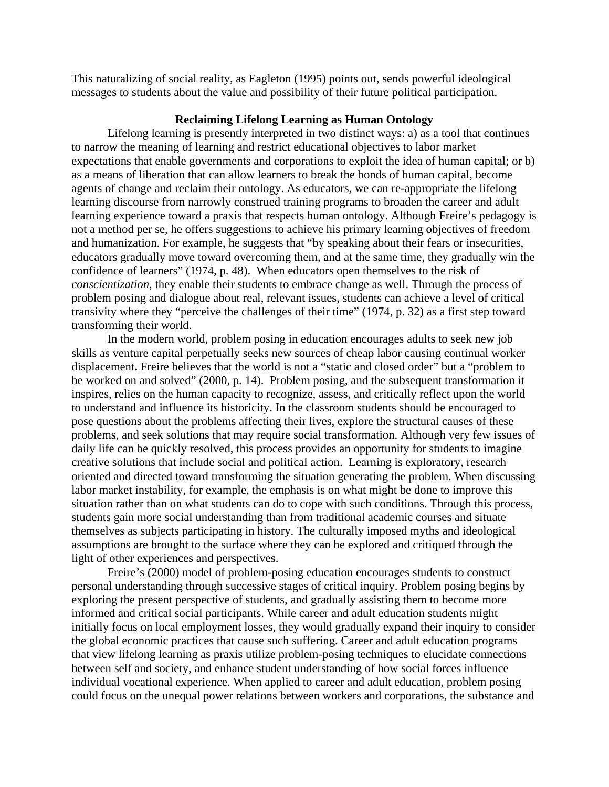This naturalizing of social reality, as Eagleton (1995) points out, sends powerful ideological messages to students about the value and possibility of their future political participation.

### **Reclaiming Lifelong Learning as Human Ontology**

Lifelong learning is presently interpreted in two distinct ways: a) as a tool that continues to narrow the meaning of learning and restrict educational objectives to labor market expectations that enable governments and corporations to exploit the idea of human capital; or b) as a means of liberation that can allow learners to break the bonds of human capital, become agents of change and reclaim their ontology. As educators, we can re-appropriate the lifelong learning discourse from narrowly construed training programs to broaden the career and adult learning experience toward a praxis that respects human ontology. Although Freire's pedagogy is not a method per se, he offers suggestions to achieve his primary learning objectives of freedom and humanization. For example, he suggests that "by speaking about their fears or insecurities, educators gradually move toward overcoming them, and at the same time, they gradually win the confidence of learners" (1974, p. 48). When educators open themselves to the risk of *conscientization*, they enable their students to embrace change as well. Through the process of problem posing and dialogue about real, relevant issues, students can achieve a level of critical transivity where they "perceive the challenges of their time" (1974, p. 32) as a first step toward transforming their world.

In the modern world, problem posing in education encourages adults to seek new job skills as venture capital perpetually seeks new sources of cheap labor causing continual worker displacement**.** Freire believes that the world is not a "static and closed order" but a "problem to be worked on and solved" (2000, p. 14). Problem posing, and the subsequent transformation it inspires, relies on the human capacity to recognize, assess, and critically reflect upon the world to understand and influence its historicity. In the classroom students should be encouraged to pose questions about the problems affecting their lives, explore the structural causes of these problems, and seek solutions that may require social transformation. Although very few issues of daily life can be quickly resolved, this process provides an opportunity for students to imagine creative solutions that include social and political action. Learning is exploratory, research oriented and directed toward transforming the situation generating the problem. When discussing labor market instability, for example, the emphasis is on what might be done to improve this situation rather than on what students can do to cope with such conditions. Through this process, students gain more social understanding than from traditional academic courses and situate themselves as subjects participating in history. The culturally imposed myths and ideological assumptions are brought to the surface where they can be explored and critiqued through the light of other experiences and perspectives.

Freire's (2000) model of problem-posing education encourages students to construct personal understanding through successive stages of critical inquiry. Problem posing begins by exploring the present perspective of students, and gradually assisting them to become more informed and critical social participants. While career and adult education students might initially focus on local employment losses, they would gradually expand their inquiry to consider the global economic practices that cause such suffering. Career and adult education programs that view lifelong learning as praxis utilize problem-posing techniques to elucidate connections between self and society, and enhance student understanding of how social forces influence individual vocational experience. When applied to career and adult education, problem posing could focus on the unequal power relations between workers and corporations, the substance and